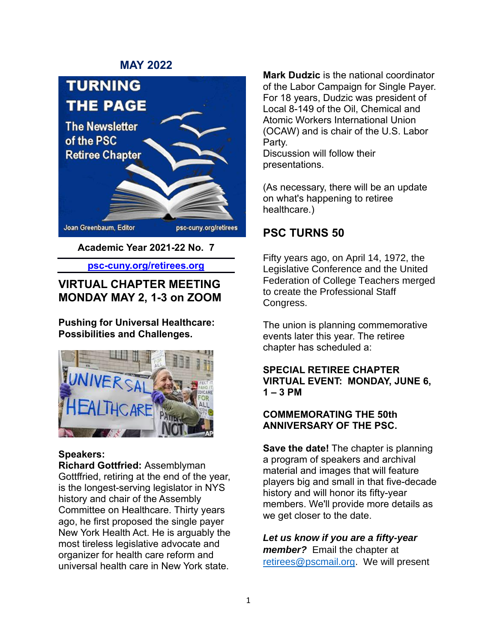### **MAY 2022**



**Academic Year 2021-22 No. 7**

**psc-cuny.org/retirees.org**

## **VIRTUAL CHAPTER MEETING MONDAY MAY 2, 1-3 on ZOOM**

**Pushing for Universal Healthcare: Possibilities and Challenges.**



## **Speakers:**

**Richard Gottfried:** Assemblyman Gottffried, retiring at the end of the year, is the longest-serving legislator in NYS history and chair of the Assembly Committee on Healthcare. Thirty years ago, he first proposed the single payer New York Health Act. He is arguably the most tireless legislative advocate and organizer for health care reform and universal health care in New York state.

**Mark Dudzic** is the national coordinator of the Labor Campaign for Single Payer. For 18 years, Dudzic was president of Local 8-149 of the Oil, Chemical and Atomic Workers International Union (OCAW) and is chair of the U.S. Labor Party. Discussion will follow their presentations.

(As necessary, there will be an update on what's happening to retiree healthcare.)

## **PSC TURNS 50**

Fifty years ago, on April 14, 1972, the Legislative Conference and the United Federation of College Teachers merged to create the Professional Staff Congress.

The union is planning commemorative events later this year. The retiree chapter has scheduled a:

### **SPECIAL RETIREE CHAPTER VIRTUAL EVENT: MONDAY, JUNE 6, 1 – 3 PM**

### **COMMEMORATING THE 50th ANNIVERSARY OF THE PSC.**

**Save the date!** The chapter is planning a program of speakers and archival material and images that will feature players big and small in that five-decade history and will honor its fifty-year members. We'll provide more details as we get closer to the date.

*Let us know if you are a fifty-year member?* Email the chapter at [retirees@pscmail.org.](mailto:retirees@pscmail.org) We will present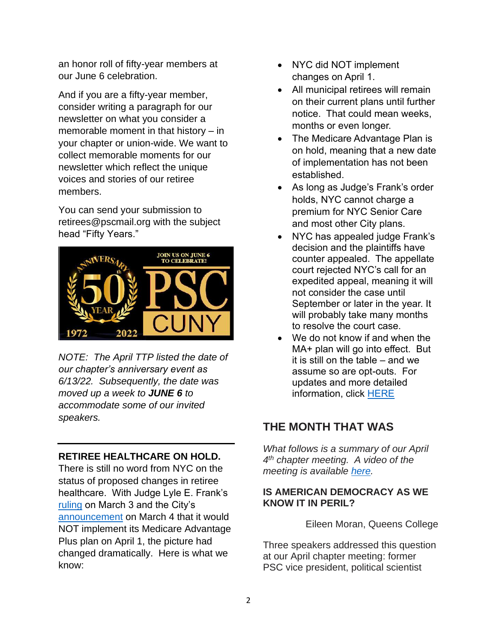an honor roll of fifty-year members at our June 6 celebration.

And if you are a fifty-year member, consider writing a paragraph for our newsletter on what you consider a memorable moment in that history – in your chapter or union-wide. We want to collect memorable moments for our newsletter which reflect the unique voices and stories of our retiree members.

You can send your submission to [retirees@pscmail.org](mailto:retirees@pscmail.org) with the subject head "Fifty Years."



*NOTE: The April TTP listed the date of our chapter's anniversary event as 6/13/22. Subsequently, the date was moved up a week to JUNE 6 to accommodate some of our invited speakers.*

## **RETIREE HEALTHCARE ON HOLD.**

There is still no word from NYC on the status of proposed changes in retiree healthcare. With Judge Lyle E. Frank's [ruling](https://iapps.courts.state.ny.us/nyscef/ViewDocument?docIndex=B8VlDf2UgcqZXbCIV4UsKw==) on March 3 and the City's [announcement](https://www1.nyc.gov/site/olr/health/retiree/health-retiree-responsibilities-assistance.page) on March 4 that it would NOT implement its Medicare Advantage Plus plan on April 1, the picture had changed dramatically. Here is what we know:

- NYC did NOT implement changes on April 1.
- All municipal retirees will remain on their current plans until further notice. That could mean weeks, months or even longer.
- The Medicare Advantage Plan is on hold, meaning that a new date of implementation has not been established.
- As long as Judge's Frank's order holds, NYC cannot charge a premium for NYC Senior Care and most other City plans.
- NYC has appealed judge Frank's decision and the plaintiffs have counter appealed. The appellate court rejected NYC's call for an expedited appeal, meaning it will not consider the case until September or later in the year. It will probably take many months to resolve the court case.
- We do not know if and when the MA+ plan will go into effect. But it is still on the table – and we assume so are opt-outs. For updates and more detailed information, click [HERE](https://www.psc-cuny.org/whats-happening-retiree-healthcare)

# **THE MONTH THAT WAS**

*What follows is a summary of our April 4 th chapter meeting. A video of the meeting is available [here.](https://www.youtube.com/watch?v=Uhcf_xJv2t4)*

### **IS AMERICAN DEMOCRACY AS WE KNOW IT IN PERIL?**

Eileen Moran, Queens College

Three speakers addressed this question at our April chapter meeting: former PSC vice president, political scientist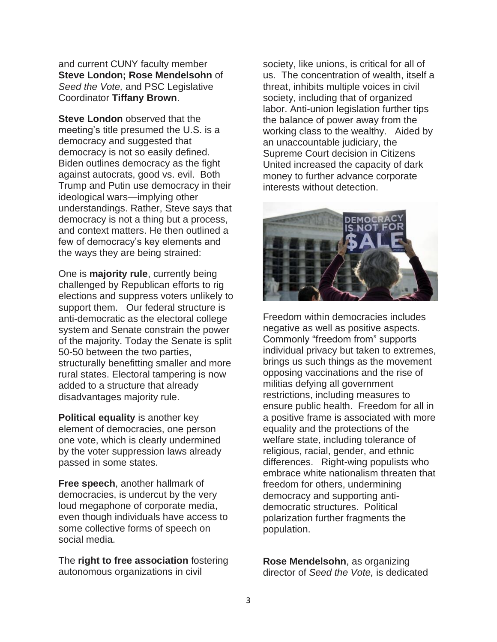and current CUNY faculty member **Steve London; Rose Mendelsohn** of *Seed the Vote,* and PSC Legislative Coordinator **Tiffany Brown**.

**Steve London** observed that the meeting's title presumed the U.S. is a democracy and suggested that democracy is not so easily defined. Biden outlines democracy as the fight against autocrats, good vs. evil. Both Trump and Putin use democracy in their ideological wars—implying other understandings. Rather, Steve says that democracy is not a thing but a process, and context matters. He then outlined a few of democracy's key elements and the ways they are being strained:

One is **majority rule**, currently being challenged by Republican efforts to rig elections and suppress voters unlikely to support them. Our federal structure is anti-democratic as the electoral college system and Senate constrain the power of the majority. Today the Senate is split 50-50 between the two parties, structurally benefitting smaller and more rural states. Electoral tampering is now added to a structure that already disadvantages majority rule.

**Political equality** is another key element of democracies, one person one vote, which is clearly undermined by the voter suppression laws already passed in some states.

**Free speech**, another hallmark of democracies, is undercut by the very loud megaphone of corporate media, even though individuals have access to some collective forms of speech on social media.

The **right to free association** fostering autonomous organizations in civil

society, like unions, is critical for all of us. The concentration of wealth, itself a threat, inhibits multiple voices in civil society, including that of organized labor. Anti-union legislation further tips the balance of power away from the working class to the wealthy. Aided by an unaccountable judiciary, the Supreme Court decision in Citizens United increased the capacity of dark money to further advance corporate interests without detection.



Freedom within democracies includes negative as well as positive aspects. Commonly "freedom from" supports individual privacy but taken to extremes, brings us such things as the movement opposing vaccinations and the rise of militias defying all government restrictions, including measures to ensure public health. Freedom for all in a positive frame is associated with more equality and the protections of the welfare state, including tolerance of religious, racial, gender, and ethnic differences. Right-wing populists who embrace white nationalism threaten that freedom for others, undermining democracy and supporting antidemocratic structures. Political polarization further fragments the population.

**Rose Mendelsohn**, as organizing director of *Seed the Vote,* is dedicated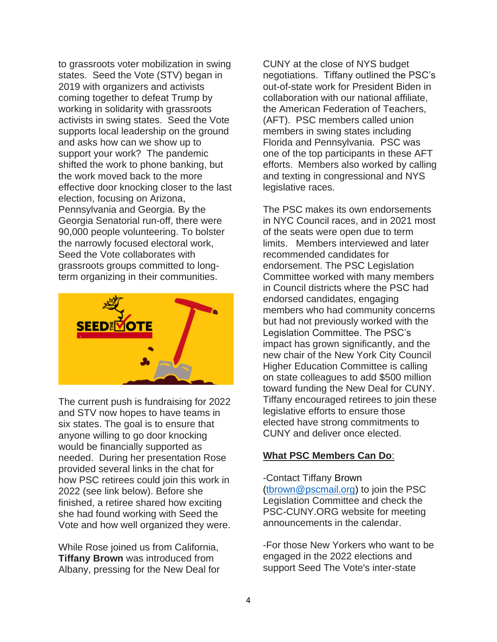to grassroots voter mobilization in swing states. Seed the Vote (STV) began in 2019 with organizers and activists coming together to defeat Trump by working in solidarity with grassroots activists in swing states. Seed the Vote supports local leadership on the ground and asks how can we show up to support your work? The pandemic shifted the work to phone banking, but the work moved back to the more effective door knocking closer to the last election, focusing on Arizona, Pennsylvania and Georgia. By the Georgia Senatorial run-off, there were 90,000 people volunteering. To bolster the narrowly focused electoral work, Seed the Vote collaborates with grassroots groups committed to longterm organizing in their communities.



The current push is fundraising for 2022 and STV now hopes to have teams in six states. The goal is to ensure that anyone willing to go door knocking would be financially supported as needed. During her presentation Rose provided several links in the chat for how PSC retirees could join this work in 2022 (see link below). Before she finished, a retiree shared how exciting she had found working with Seed the Vote and how well organized they were.

While Rose joined us from California, **Tiffany Brown** was introduced from Albany, pressing for the New Deal for CUNY at the close of NYS budget negotiations. Tiffany outlined the PSC's out-of-state work for President Biden in collaboration with our national affiliate, the American Federation of Teachers, (AFT). PSC members called union members in swing states including Florida and Pennsylvania. PSC was one of the top participants in these AFT efforts. Members also worked by calling and texting in congressional and NYS legislative races.

The PSC makes its own endorsements in NYC Council races, and in 2021 most of the seats were open due to term limits. Members interviewed and later recommended candidates for endorsement. The PSC Legislation Committee worked with many members in Council districts where the PSC had endorsed candidates, engaging members who had community concerns but had not previously worked with the Legislation Committee. The PSC's impact has grown significantly, and the new chair of the New York City Council Higher Education Committee is calling on state colleagues to add \$500 million toward funding the New Deal for CUNY. Tiffany encouraged retirees to join these legislative efforts to ensure those elected have strong commitments to CUNY and deliver once elected.

#### **What PSC Members Can Do**:

-Contact Tiffany Brown [\(tbrown@pscmail.org\)](mailto:tbrown@pscmail.org) to join the PSC Legislation Committee and check the PSC-CUNY.ORG website for meeting announcements in the calendar.

-For those New Yorkers who want to be engaged in the 2022 elections and support Seed The Vote's inter-state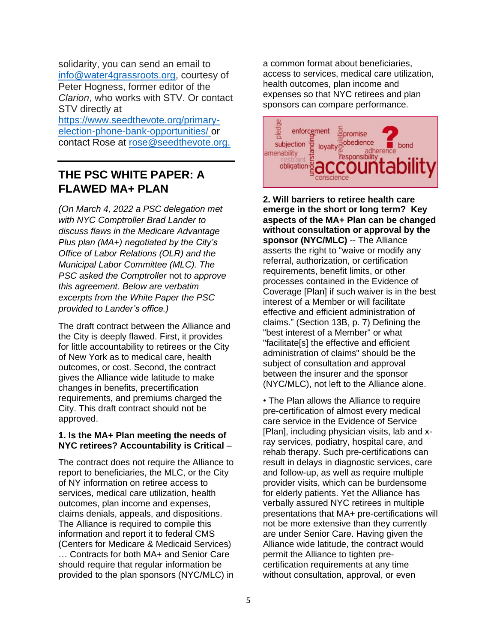solidarity, you can send an email to [info@water4grassroots.org,](mailto:info@water4grassroots.org) courtesy of Peter Hogness, former editor of the *Clarion*, who works with STV. Or contact STV directly at

[https://www.seedthevote.org/primary](https://www.seedthevote.org/primary-election-phone-bank-opportunities/)[election-phone-bank-opportunities/](https://www.seedthevote.org/primary-election-phone-bank-opportunities/) or contact Rose at [rose@seedthevote.org.](mailto:rose@seedthevote.org)

## **THE PSC WHITE PAPER: A FLAWED MA+ PLAN**

*(On March 4, 2022 a PSC delegation met with NYC Comptroller Brad Lander to discuss flaws in the Medicare Advantage Plus plan (MA+) negotiated by the City's Office of Labor Relations (OLR) and the Municipal Labor Committee (MLC). The PSC asked the Comptroller* not *to approve this agreement. Below are verbatim excerpts from the White Paper the PSC provided to Lander's office.)* 

The draft contract between the Alliance and the City is deeply flawed. First, it provides for little accountability to retirees or the City of New York as to medical care, health outcomes, or cost. Second, the contract gives the Alliance wide latitude to make changes in benefits, precertification requirements, and premiums charged the City. This draft contract should not be approved.

#### **1. Is the MA+ Plan meeting the needs of NYC retirees? Accountability is Critical** –

The contract does not require the Alliance to report to beneficiaries, the MLC, or the City of NY information on retiree access to services, medical care utilization, health outcomes, plan income and expenses, claims denials, appeals, and dispositions. The Alliance is required to compile this information and report it to federal CMS (Centers for Medicare & Medicaid Services) … Contracts for both MA+ and Senior Care should require that regular information be provided to the plan sponsors (NYC/MLC) in

a common format about beneficiaries, access to services, medical care utilization, health outcomes, plan income and expenses so that NYC retirees and plan sponsors can compare performance.



**2. Will barriers to retiree health care emerge in the short or long term? Key aspects of the MA+ Plan can be changed without consultation or approval by the sponsor (NYC/MLC)** -- The Alliance asserts the right to "waive or modify any referral, authorization, or certification requirements, benefit limits, or other processes contained in the Evidence of Coverage [Plan] if such waiver is in the best interest of a Member or will facilitate effective and efficient administration of claims." (Section 13B, p. 7) Defining the "best interest of a Member" or what "facilitate[s] the effective and efficient administration of claims" should be the subject of consultation and approval between the insurer and the sponsor (NYC/MLC), not left to the Alliance alone.

• The Plan allows the Alliance to require pre-certification of almost every medical care service in the Evidence of Service [Plan], including physician visits, lab and xray services, podiatry, hospital care, and rehab therapy. Such pre-certifications can result in delays in diagnostic services, care and follow-up, as well as require multiple provider visits, which can be burdensome for elderly patients. Yet the Alliance has verbally assured NYC retirees in multiple presentations that MA+ pre-certifications will not be more extensive than they currently are under Senior Care. Having given the Alliance wide latitude, the contract would permit the Alliance to tighten precertification requirements at any time without consultation, approval, or even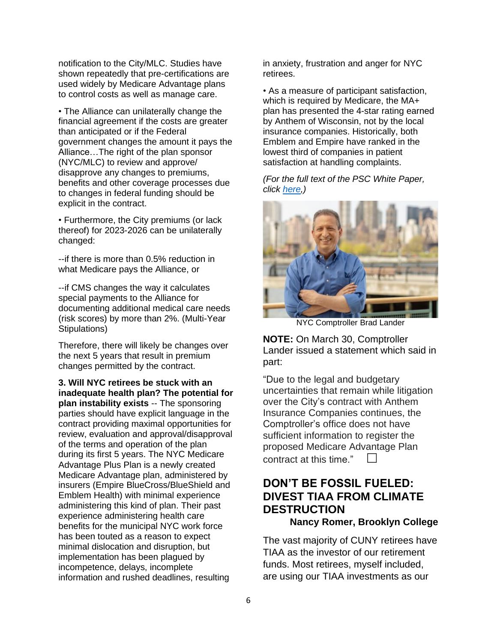notification to the City/MLC. Studies have shown repeatedly that pre-certifications are used widely by Medicare Advantage plans to control costs as well as manage care.

• The Alliance can unilaterally change the financial agreement if the costs are greater than anticipated or if the Federal government changes the amount it pays the Alliance…The right of the plan sponsor (NYC/MLC) to review and approve/ disapprove any changes to premiums, benefits and other coverage processes due to changes in federal funding should be explicit in the contract.

• Furthermore, the City premiums (or lack thereof) for 2023-2026 can be unilaterally changed:

--if there is more than 0.5% reduction in what Medicare pays the Alliance, or

--if CMS changes the way it calculates special payments to the Alliance for documenting additional medical care needs (risk scores) by more than 2%. (Multi-Year Stipulations)

Therefore, there will likely be changes over the next 5 years that result in premium changes permitted by the contract.

**3. Will NYC retirees be stuck with an inadequate health plan? The potential for plan instability exists** -- The sponsoring parties should have explicit language in the contract providing maximal opportunities for review, evaluation and approval/disapproval of the terms and operation of the plan during its first 5 years. The NYC Medicare Advantage Plus Plan is a newly created Medicare Advantage plan, administered by insurers (Empire BlueCross/BlueShield and Emblem Health) with minimal experience administering this kind of plan. Their past experience administering health care benefits for the municipal NYC work force has been touted as a reason to expect minimal dislocation and disruption, but implementation has been plagued by incompetence, delays, incomplete information and rushed deadlines, resulting

in anxiety, frustration and anger for NYC retirees.

• As a measure of participant satisfaction, which is required by Medicare, the MA+ plan has presented the 4-star rating earned by Anthem of Wisconsin, not by the local insurance companies. Historically, both Emblem and Empire have ranked in the lowest third of companies in patient satisfaction at handling complaints.

*(For the full text of the PSC White Paper, click [here,](https://www.psc-cuny.org/sites/default/files/PSC%20comments--draft%20MA%2B%20contract%20final.pdf))*



NYC Comptroller Brad Lander

**NOTE:** On March 30, Comptroller Lander issued a statement which said in part:

"Due to the legal and budgetary uncertainties that remain while litigation over the City's contract with Anthem Insurance Companies continues, the Comptroller's office does not have sufficient information to register the proposed Medicare Advantage Plan contract at this time." $\Box$ 

## **DON'T BE FOSSIL FUELED: DIVEST TIAA FROM CLIMATE DESTRUCTION**

### **Nancy Romer, Brooklyn College**

The vast majority of CUNY retirees have TIAA as the investor of our retirement funds. Most retirees, myself included, are using our TIAA investments as our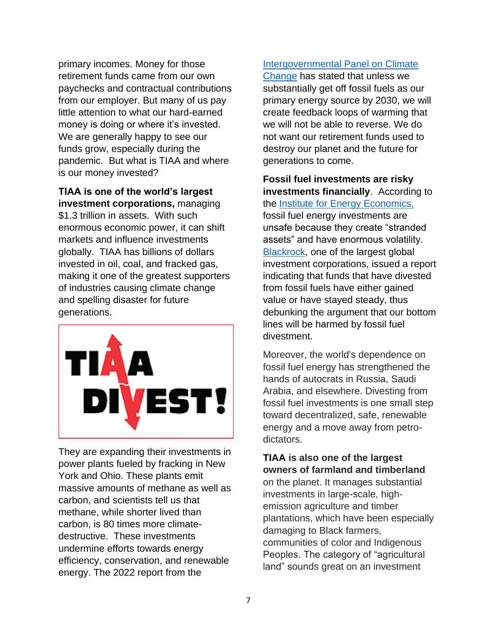primary incomes. Money for those retirement funds came from our own paychecks and contractual contributions from our employer. But many of us pay little attention to what our hard-earned money is doing or where it's invested. We are generally happy to see our funds grow, especially during the pandemic. But what is TIAA and where is our money invested?

**TIAA is one of the world's largest investment corporations,** managing \$1.3 trillion in assets. With such enormous economic power, it can shift markets and influence investments globally. TIAA has billions of dollars invested in oil, coal, and fracked gas, making it one of the greatest supporters of industries causing climate change and spelling disaster for future generations.



They are expanding their investments in power plants fueled by fracking in New York and Ohio. These plants emit massive amounts of methane as well as carbon, and scientists tell us that methane, while shorter lived than carbon, is 80 times more climatedestructive. These investments undermine efforts towards energy efficiency, conservation, and renewable energy. The 2022 report from the

### [Intergovernmental Panel on Climate](https://www.ipcc.ch/)

[Change](https://www.ipcc.ch/) has stated that unless we substantially get off fossil fuels as our primary energy source by 2030, we will create feedback loops of warming that we will not be able to reverse. We do not want our retirement funds used to destroy our planet and the future for generations to come.

**Fossil fuel investments are risky investments financially**. According to the [Institute for Energy Economics,](https://ieefa.org/) fossil fuel energy investments are unsafe because they create "stranded assets" and have enormous volatility. [Blackrock,](https://ieefa.org/ieefa-report-blackrocks-fossil-fuel-investments-wipe-us90-billion-in-massive-investor-value-destruction/) one of the largest global investment corporations, issued a report indicating that funds that have divested from fossil fuels have either gained value or have stayed steady, thus debunking the argument that our bottom lines will be harmed by fossil fuel divestment.

Moreover, the world's dependence on fossil fuel energy has strengthened the hands of autocrats in Russia, Saudi Arabia, and elsewhere. Divesting from fossil fuel investments is one small step toward decentralized, safe, renewable energy and a move away from petrodictators.

### **TIAA is also one of the largest owners of farmland and timberland** on the planet. It manages substantial investments in large-scale, highemission agriculture and timber plantations, which have been especially damaging to Black farmers, communities of color and Indigenous Peoples. The category of "agricultural land" sounds great on an investment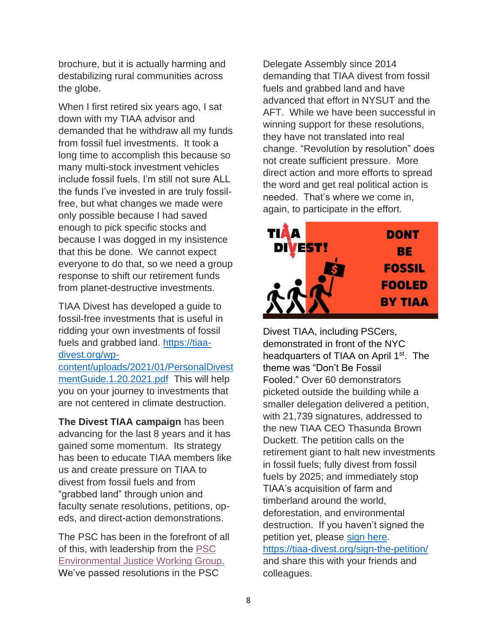brochure, but it is actually harming and destabilizing rural communities across the globe.

When I first retired six years ago, I sat down with my TIAA advisor and demanded that he withdraw all my funds from fossil fuel investments. It took a long time to accomplish this because so many multi-stock investment vehicles include fossil fuels. I'm still not sure ALL the funds I've invested in are truly fossilfree, but what changes we made were only possible because I had saved enough to pick specific stocks and because I was dogged in my insistence that this be done. We cannot expect everyone to do that, so we need a group response to shift our retirement funds from planet-destructive investments.

TIAA Divest has developed a guide to fossil-free investments that is useful in ridding your own investments of fossil fuels and grabbed land. [https://tiaa](https://tiaa-divest.org/wp-content/uploads/2021/01/PersonalDivestmentGuide.1.20.2021.pdf)[divest.org/wp](https://tiaa-divest.org/wp-content/uploads/2021/01/PersonalDivestmentGuide.1.20.2021.pdf)[content/uploads/2021/01/PersonalDivest](https://tiaa-divest.org/wp-content/uploads/2021/01/PersonalDivestmentGuide.1.20.2021.pdf)

[mentGuide.1.20.2021.pdf](https://tiaa-divest.org/wp-content/uploads/2021/01/PersonalDivestmentGuide.1.20.2021.pdf) This will help you on your journey to investments that are not centered in climate destruction.

**The Divest TIAA campaign** has been advancing for the last 8 years and it has gained some momentum. Its strategy has been to educate TIAA members like us and create pressure on TIAA to divest from fossil fuels and from "grabbed land" through union and faculty senate resolutions, petitions, opeds, and direct-action demonstrations.

The PSC has been in the forefront of all of this, with leadership from the [PSC](https://www.psc-cuny.org/environmental-justice-committee)  [Environmental Justice Working Group.](https://www.psc-cuny.org/environmental-justice-committee) We've passed resolutions in the PSC

Delegate Assembly since 2014 demanding that TIAA divest from fossil fuels and grabbed land and have advanced that effort in NYSUT and the AFT. While we have been successful in winning support for these resolutions, they have not translated into real change. "Revolution by resolution" does not create sufficient pressure. More direct action and more efforts to spread the word and get real political action is needed. That's where we come in, again, to participate in the effort.



Divest TIAA, including PSCers, demonstrated in front of the NYC headquarters of TIAA on April 1<sup>st</sup>. The theme was "Don't Be Fossil Fooled." Over 60 demonstrators picketed outside the building while a smaller delegation delivered a petition, with 21,739 signatures, addressed to the new TIAA CEO Thasunda Brown Duckett. The petition calls on the retirement giant to halt new investments in fossil fuels; fully divest from fossil fuels by 2025; and immediately stop TIAA's acquisition of farm and timberland around the world, deforestation, and environmental destruction. If you haven't signed the petition yet, please [sign here.](https://tiaa-divest.org/sign-the-petition/) <https://tiaa-divest.org/sign-the-petition/> and share this with your friends and colleagues.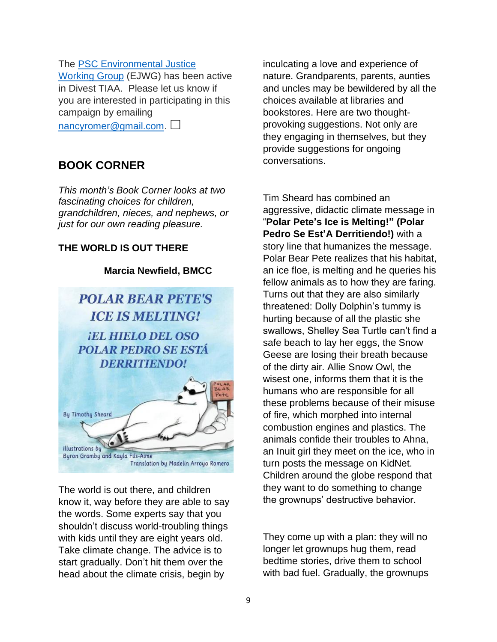#### The [PSC Environmental Justice](https://www.psc-cuny.org/environmental-justice-committee)

[Working Group](https://www.psc-cuny.org/environmental-justice-committee) (EJWG) has been active in Divest TIAA. Please let us know if you are interested in participating in this campaign by emailing

[nancyromer@gmail.com.](mailto:nancyromer@gmail.com)

## **BOOK CORNER**

*This month's Book Corner looks at two fascinating choices for children, grandchildren, nieces, and nephews, or just for our own reading pleasure.*

### **THE WORLD IS OUT THERE**

### **Marcia Newfield, BMCC**



The world is out there, and children know it, way before they are able to say the words. Some experts say that you shouldn't discuss world-troubling things with kids until they are eight years old. Take climate change. The advice is to start gradually. Don't hit them over the head about the climate crisis, begin by

inculcating a love and experience of nature. Grandparents, parents, aunties and uncles may be bewildered by all the choices available at libraries and bookstores. Here are two thoughtprovoking suggestions. Not only are they engaging in themselves, but they provide suggestions for ongoing conversations.

Tim Sheard has combined an aggressive, didactic climate message in "**Polar Pete's Ice is Melting!" (Polar Pedro Se Est'A Derritiendo!)** with a story line that humanizes the message. Polar Bear Pete realizes that his habitat, an ice floe, is melting and he queries his fellow animals as to how they are faring. Turns out that they are also similarly threatened: Dolly Dolphin's tummy is hurting because of all the plastic she swallows, Shelley Sea Turtle can't find a safe beach to lay her eggs, the Snow Geese are losing their breath because of the dirty air. Allie Snow Owl, the wisest one, informs them that it is the humans who are responsible for all these problems because of their misuse of fire, which morphed into internal combustion engines and plastics. The animals confide their troubles to Ahna, an Inuit girl they meet on the ice, who in turn posts the message on KidNet. Children around the globe respond that they want to do something to change the grownups' destructive behavior.

They come up with a plan: they will no longer let grownups hug them, read bedtime stories, drive them to school with bad fuel. Gradually, the grownups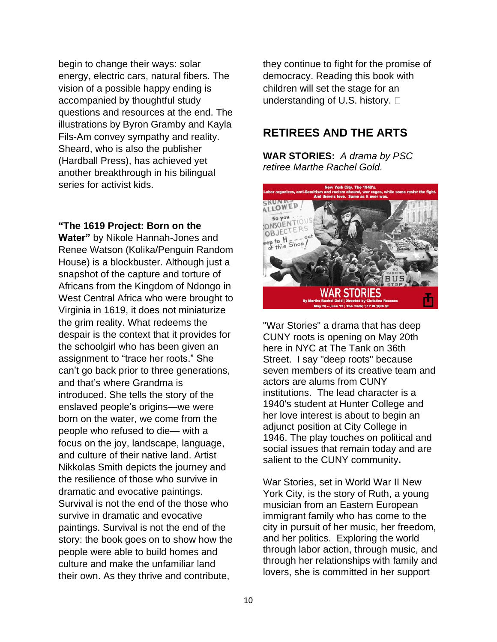begin to change their ways: solar energy, electric cars, natural fibers. The vision of a possible happy ending is accompanied by thoughtful study questions and resources at the end. The illustrations by Byron Gramby and Kayla Fils-Am convey sympathy and reality. Sheard, who is also the publisher (Hardball Press), has achieved yet another breakthrough in his bilingual series for activist kids.

#### **"The 1619 Project: Born on the**

**Water"** by Nikole Hannah-Jones and Renee Watson (Kolika/Penguin Random House) is a blockbuster. Although just a snapshot of the capture and torture of Africans from the Kingdom of Ndongo in West Central Africa who were brought to Virginia in 1619, it does not miniaturize the grim reality. What redeems the despair is the context that it provides for the schoolgirl who has been given an assignment to "trace her roots." She can't go back prior to three generations, and that's where Grandma is introduced. She tells the story of the enslaved people's origins—we were born on the water, we come from the people who refused to die— with a focus on the joy, landscape, language, and culture of their native land. Artist Nikkolas Smith depicts the journey and the resilience of those who survive in dramatic and evocative paintings. Survival is not the end of the those who survive in dramatic and evocative paintings. Survival is not the end of the story: the book goes on to show how the people were able to build homes and culture and make the unfamiliar land their own. As they thrive and contribute,

they continue to fight for the promise of democracy. Reading this book with children will set the stage for an understanding of U.S. history.  $\Box$ 

## **RETIREES AND THE ARTS**

**WAR STORIES:** *A drama by PSC retiree Marthe Rachel Gold.*



"War Stories" a drama that has deep CUNY roots is opening on May 20th here in NYC at The Tank on 36th Street. I say "deep roots" because seven members of its creative team and actors are alums from CUNY institutions. The lead character is a 1940's student at Hunter College and her love interest is about to begin an adjunct position at City College in 1946. The play touches on political and social issues that remain today and are salient to the CUNY community**.**

War Stories, set in World War II New York City, is the story of Ruth, a young musician from an Eastern European immigrant family who has come to the city in pursuit of her music, her freedom, and her politics. Exploring the world through labor action, through music, and through her relationships with family and lovers, she is committed in her support